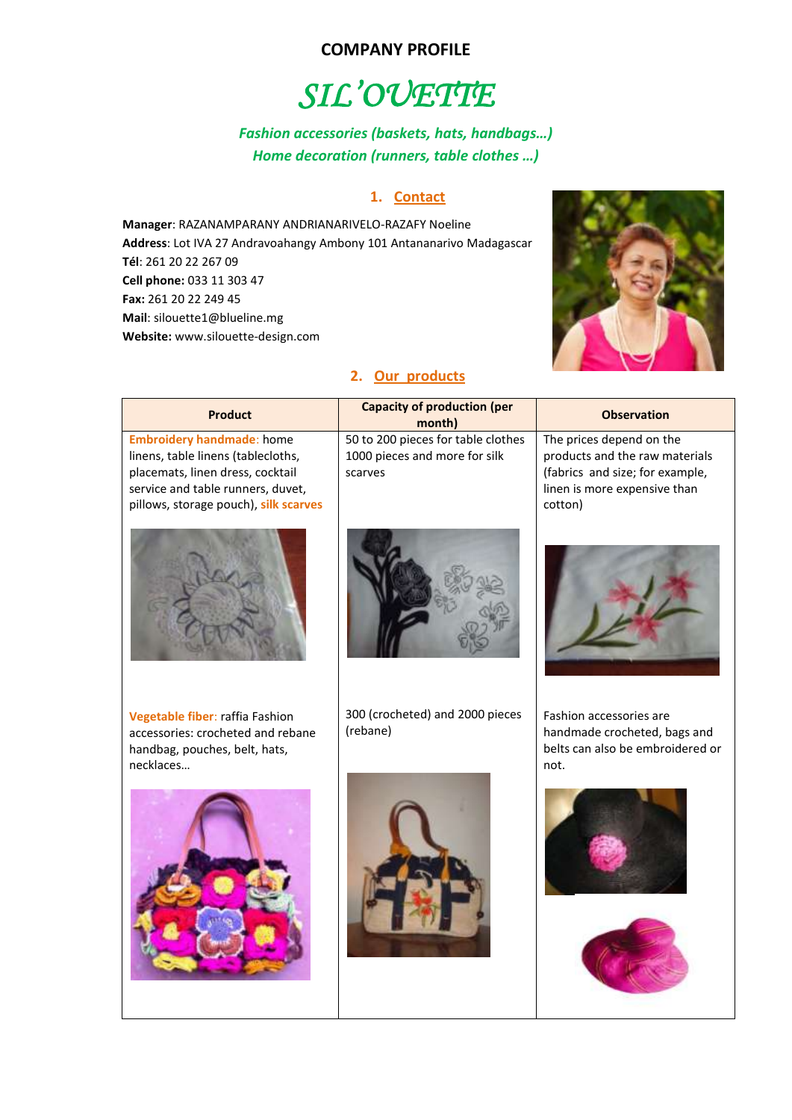## **COMPANY PROFILE**

# *SIL'OUETTE*

# *Fashion accessories (baskets, hats, handbags…) Home decoration (runners, table clothes …)*

### **1. Contact**

**Manager**: RAZANAMPARANY ANDRIANARIVELO-RAZAFY Noeline **Address**: Lot IVA 27 Andravoahangy Ambony 101 Antananarivo Madagascar **Tél**: 261 20 22 267 09 **Cell phone:** 033 11 303 47 **Fax:** 261 20 22 249 45 **Mail**: silouette1@blueline.mg **Website:** www.silouette-design.com



#### **2. Our products**

| <b>Product</b>                                                                                                                                                                           | <b>Capacity of production (per</b><br>month)                                   | <b>Observation</b>                                                                                                                       |
|------------------------------------------------------------------------------------------------------------------------------------------------------------------------------------------|--------------------------------------------------------------------------------|------------------------------------------------------------------------------------------------------------------------------------------|
| <b>Embroidery handmade: home</b><br>linens, table linens (tablecloths,<br>placemats, linen dress, cocktail<br>service and table runners, duvet,<br>pillows, storage pouch), silk scarves | 50 to 200 pieces for table clothes<br>1000 pieces and more for silk<br>scarves | The prices depend on the<br>products and the raw materials<br>(fabrics and size; for example,<br>linen is more expensive than<br>cotton) |
|                                                                                                                                                                                          |                                                                                |                                                                                                                                          |
| Vegetable fiber: raffia Fashion<br>accessories: crocheted and rebane<br>handbag, pouches, belt, hats,<br>necklaces                                                                       | 300 (crocheted) and 2000 pieces<br>(rebane)                                    | Fashion accessories are<br>handmade crocheted, bags and<br>belts can also be embroidered or<br>not.                                      |
|                                                                                                                                                                                          |                                                                                |                                                                                                                                          |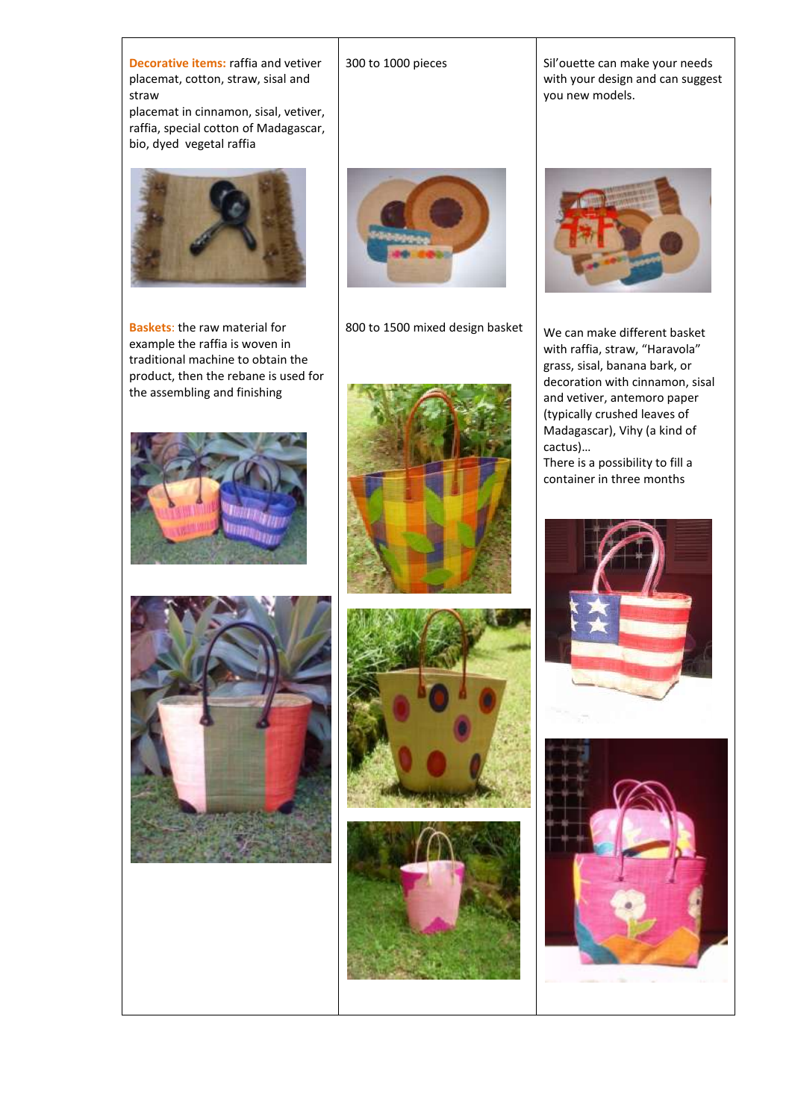**Decorative items:** raffia and vetiver placemat, cotton, straw, sisal and straw placemat in cinnamon, sisal, vetiver, raffia, special cotton of Madagascar, bio, dyed vegetal raffia **Baskets**: the raw material for example the raffia is woven in traditional machine to obtain the product, then the rebane is used for the assembling and finishing





#### 300 to 1000 pieces

Sil'ouette can make your needs with your design and can suggest you new models.



800 to 1500 mixed design basket









We can make different basket with raffia, straw, "Haravola" grass, sisal, banana bark, or decoration with cinnamon, sisal and vetiver, antemoro paper (typically crushed leaves of Madagascar), Vihy (a kind of cactus)… There is a possibility to fill a

container in three months